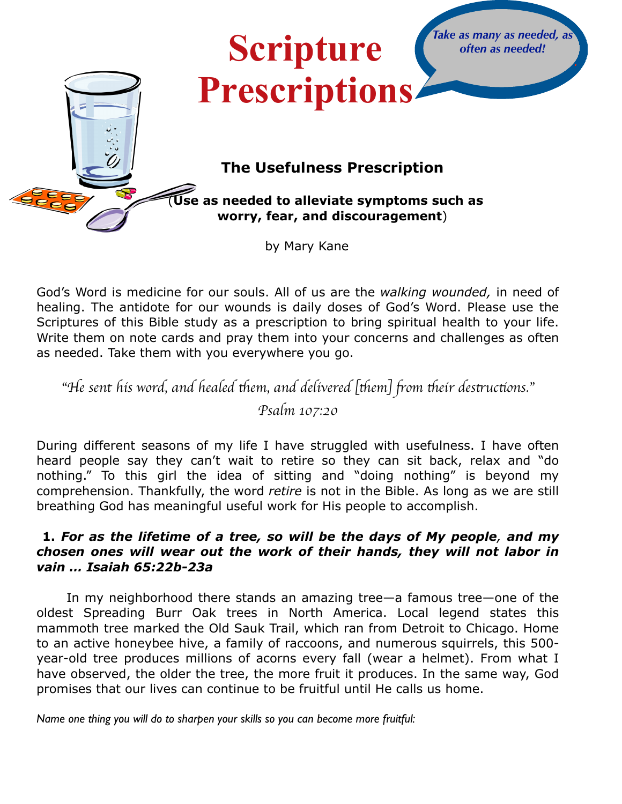

God's Word is medicine for our souls. All of us are the *walking wounded,* in need of healing. The antidote for our wounds is daily doses of God's Word. Please use the Scriptures of this Bible study as a prescription to bring spiritual health to your life. Write them on note cards and pray them into your concerns and challenges as often as needed. Take them with you everywhere you go.

"He sent his word, and healed them, and delivered [them] from their destructions."

*Psalm 107:20*

During different seasons of my life I have struggled with usefulness. I have often heard people say they can't wait to retire so they can sit back, relax and "do nothing." To this girl the idea of sitting and "doing nothing" is beyond my comprehension. Thankfully, the word *retire* is not in the Bible. As long as we are still breathing God has meaningful useful work for His people to accomplish.

# **1.** *For as the lifetime of a tree, so will be the days of My people, and my chosen ones will wear out the work of their hands, they will not labor in vain … Isaiah 65:22b-23a*

In my neighborhood there stands an amazing tree—a famous tree—one of the oldest Spreading Burr Oak trees in North America. Local legend states this mammoth tree marked the Old Sauk Trail, which ran from Detroit to Chicago. Home to an active honeybee hive, a family of raccoons, and numerous squirrels, this 500 year-old tree produces millions of acorns every fall (wear a helmet). From what I have observed, the older the tree, the more fruit it produces. In the same way, God promises that our lives can continue to be fruitful until He calls us home.

*Name one thing you will do to sharpen your skills so you can become more fruitful:*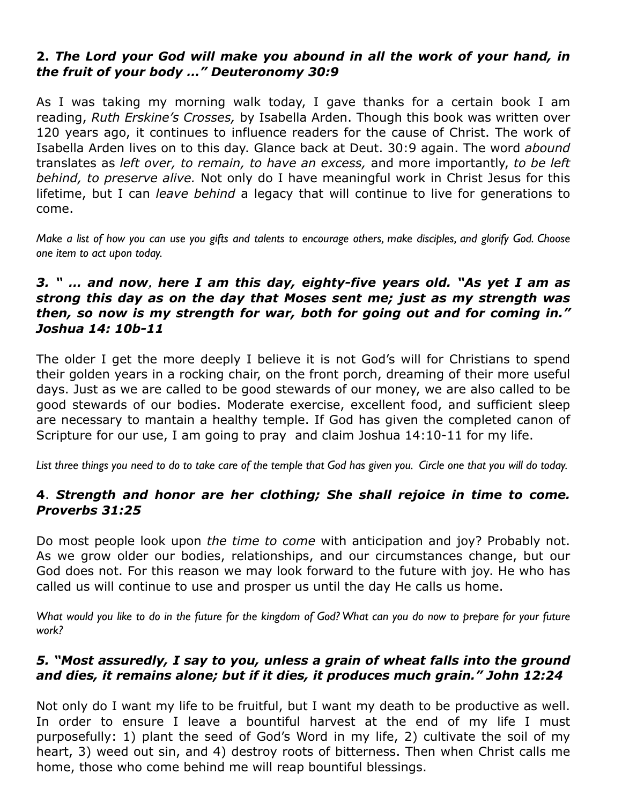# **2.** *The Lord your God will make you abound in all the work of your hand, in the fruit of your body …" Deuteronomy 30:9*

As I was taking my morning walk today, I gave thanks for a certain book I am reading, *Ruth Erskine's Crosses,* by Isabella Arden. Though this book was written over 120 years ago, it continues to influence readers for the cause of Christ. The work of Isabella Arden lives on to this day. Glance back at Deut. 30:9 again. The word *abound*  translates as *left over, to remain, to have an excess,* and more importantly, *to be left behind, to preserve alive.* Not only do I have meaningful work in Christ Jesus for this lifetime, but I can *leave behind* a legacy that will continue to live for generations to come.

*Make a list of how you can use you gifts and talents to encourage others, make disciples, and glorify God. Choose one item to act upon today.*

## *3. " … and now, here I am this day, eighty-five years old. "As yet I am as strong this day as on the day that Moses sent me; just as my strength was then, so now is my strength for war, both for going out and for coming in." Joshua 14: 10b-11*

The older I get the more deeply I believe it is not God's will for Christians to spend their golden years in a rocking chair, on the front porch, dreaming of their more useful days. Just as we are called to be good stewards of our money, we are also called to be good stewards of our bodies. Moderate exercise, excellent food, and sufficient sleep are necessary to mantain a healthy temple. If God has given the completed canon of Scripture for our use, I am going to pray and claim Joshua 14:10-11 for my life.

*List three things you need to do to take care of the temple that God has given you. Circle one that you will do today.*

## **4**. *Strength and honor are her clothing; She shall rejoice in time to come. Proverbs 31:25*

Do most people look upon *the time to come* with anticipation and joy? Probably not. As we grow older our bodies, relationships, and our circumstances change, but our God does not. For this reason we may look forward to the future with joy. He who has called us will continue to use and prosper us until the day He calls us home.

*What would you like to do in the future for the kingdom of God? What can you do now to prepare for your future work?*

## *5. "Most assuredly, I say to you, unless a grain of wheat falls into the ground and dies, it remains alone; but if it dies, it produces much grain." John 12:24*

Not only do I want my life to be fruitful, but I want my death to be productive as well. In order to ensure I leave a bountiful harvest at the end of my life I must purposefully: 1) plant the seed of God's Word in my life, 2) cultivate the soil of my heart, 3) weed out sin, and 4) destroy roots of bitterness. Then when Christ calls me home, those who come behind me will reap bountiful blessings.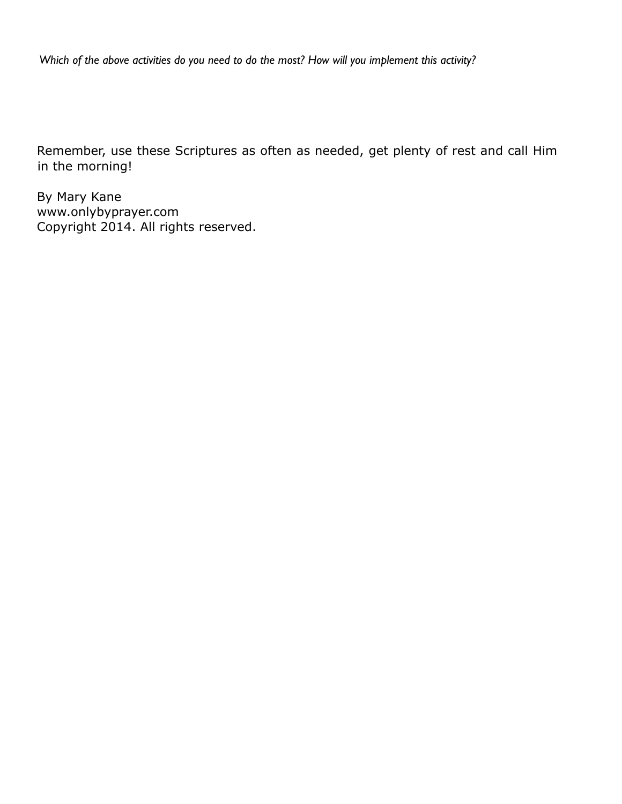*Which of the above activities do you need to do the most? How will you implement this activity?*

Remember, use these Scriptures as often as needed, get plenty of rest and call Him in the morning!

By Mary Kane www.onlybyprayer.com Copyright 2014. All rights reserved.